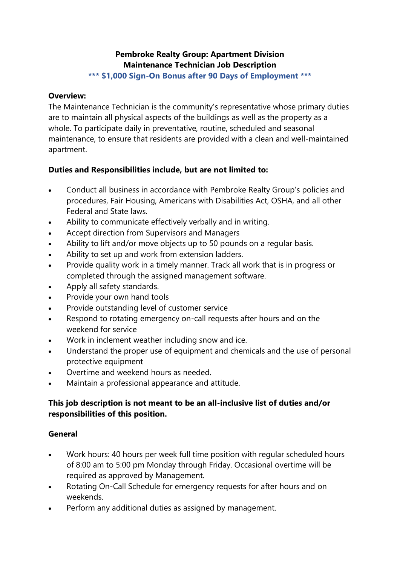# **Pembroke Realty Group: Apartment Division Maintenance Technician Job Description**

**\*\*\* \$1,000 Sign-On Bonus after 90 Days of Employment \*\*\***

#### **Overview:**

The Maintenance Technician is the community's representative whose primary duties are to maintain all physical aspects of the buildings as well as the property as a whole. To participate daily in preventative, routine, scheduled and seasonal maintenance, to ensure that residents are provided with a clean and well-maintained apartment.

## **Duties and Responsibilities include, but are not limited to:**

- Conduct all business in accordance with Pembroke Realty Group's policies and procedures, Fair Housing, Americans with Disabilities Act, OSHA, and all other Federal and State laws.
- Ability to communicate effectively verbally and in writing.
- Accept direction from Supervisors and Managers
- Ability to lift and/or move objects up to 50 pounds on a regular basis.
- Ability to set up and work from extension ladders.
- Provide quality work in a timely manner. Track all work that is in progress or completed through the assigned management software.
- Apply all safety standards.
- Provide your own hand tools
- Provide outstanding level of customer service
- Respond to rotating emergency on-call requests after hours and on the weekend for service
- Work in inclement weather including snow and ice.
- Understand the proper use of equipment and chemicals and the use of personal protective equipment
- Overtime and weekend hours as needed.
- Maintain a professional appearance and attitude.

## **This job description is not meant to be an all-inclusive list of duties and/or responsibilities of this position.**

#### **General**

- Work hours: 40 hours per week full time position with regular scheduled hours of 8:00 am to 5:00 pm Monday through Friday. Occasional overtime will be required as approved by Management.
- Rotating On-Call Schedule for emergency requests for after hours and on weekends.
- Perform any additional duties as assigned by management.